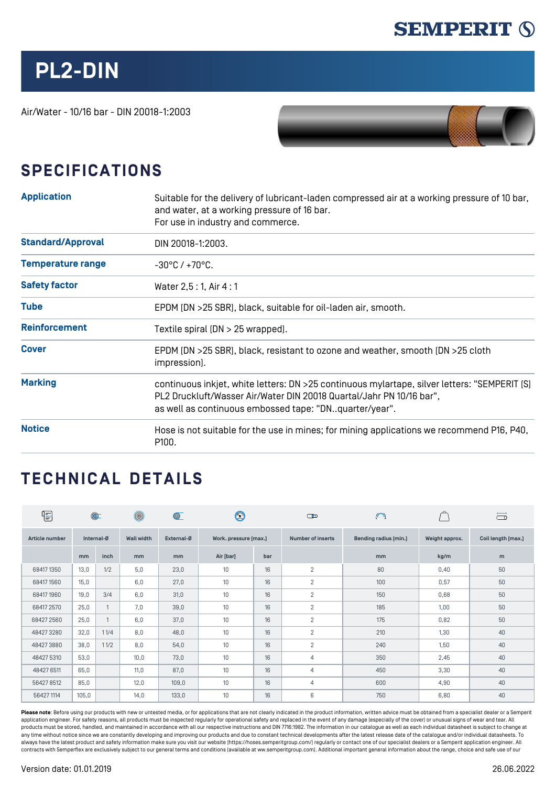

## **PL2-DIN**

Air/Water - 10/16 bar - DIN 20018-1:2003



## **SPECIFICATIONS**

| <b>Application</b>       | Suitable for the delivery of lubricant-laden compressed air at a working pressure of 10 bar,<br>and water, at a working pressure of 16 bar.<br>For use in industry and commerce.                                                |  |  |  |  |  |
|--------------------------|---------------------------------------------------------------------------------------------------------------------------------------------------------------------------------------------------------------------------------|--|--|--|--|--|
| <b>Standard/Approval</b> | DIN 20018-1:2003.                                                                                                                                                                                                               |  |  |  |  |  |
| <b>Temperature range</b> | $-30^{\circ}$ C / $+70^{\circ}$ C.                                                                                                                                                                                              |  |  |  |  |  |
| <b>Safety factor</b>     | Water 2,5:1, Air 4:1                                                                                                                                                                                                            |  |  |  |  |  |
| <b>Tube</b>              | EPDM (DN >25 SBR), black, suitable for oil-laden air, smooth.                                                                                                                                                                   |  |  |  |  |  |
| <b>Reinforcement</b>     | Textile spiral $[DN > 25$ wrapped].                                                                                                                                                                                             |  |  |  |  |  |
| <b>Cover</b>             | EPDM (DN >25 SBR), black, resistant to ozone and weather, smooth (DN >25 cloth<br>impression].                                                                                                                                  |  |  |  |  |  |
| <b>Marking</b>           | continuous inkjet, white letters: DN > 25 continuous mylartape, silver letters: "SEMPERIT [S]<br>PL2 Druckluft/Wasser Air/Water DIN 20018 Quartal/Jahr PN 10/16 bar",<br>as well as continuous embossed tape: "DNquarter/year". |  |  |  |  |  |
| <b>Notice</b>            | Hose is not suitable for the use in mines; for mining applications we recommend P16, P40,<br>P100.                                                                                                                              |  |  |  |  |  |

## **TECHNICAL DETAILS**

| $\mathbb{E}$   | $\circledcirc$ |      | $\circledcirc$    | $\circledcirc$ | $\circledS$           |     | $\bigcirc$               | $\cup$                       |                | $\Box$             |
|----------------|----------------|------|-------------------|----------------|-----------------------|-----|--------------------------|------------------------------|----------------|--------------------|
| Article number | Internal-Ø     |      | <b>Wall width</b> | External-Ø     | Work. pressure [max.] |     | <b>Number of inserts</b> | <b>Bending radius [min.]</b> | Weight approx. | Coil length [max.] |
|                | mm             | inch | mm                | mm             | Air [bar]             | bar |                          | mm                           | kg/m           | m                  |
| 68417 1350     | 13,0           | 1/2  | 5,0               | 23,0           | 10 <sup>°</sup>       | 16  | $\overline{2}$           | 80                           | 0,40           | 50                 |
| 68417 1560     | 15,0           |      | 6,0               | 27,0           | 10 <sup>°</sup>       | 16  | $\overline{2}$           | 100                          | 0,57           | 50                 |
| 68417 1960     | 19,0           | 3/4  | 6,0               | 31,0           | 10 <sup>°</sup>       | 16  | $\overline{2}$           | 150                          | 0,68           | 50                 |
| 68417 2570     | 25,0           |      | 7,0               | 39,0           | 10 <sup>°</sup>       | 16  | 2                        | 185                          | 1,00           | 50                 |
| 68427 2560     | 25,0           |      | 6,0               | 37,0           | 10 <sup>°</sup>       | 16  | $\overline{2}$           | 175                          | 0,82           | 50                 |
| 484273280      | 32,0           | 11/4 | 8,0               | 48,0           | 10 <sup>°</sup>       | 16  | 2                        | 210                          | 1,30           | 40                 |
| 484273880      | 38,0           | 11/2 | 8,0               | 54,0           | 10                    | 16  | $\overline{2}$           | 240                          | 1,50           | 40                 |
| 48427 5310     | 53,0           |      | 10,0              | 73,0           | 10 <sup>°</sup>       | 16  | $\overline{4}$           | 350                          | 2,45           | 40                 |
| 48427 6511     | 65,0           |      | 11,0              | 87,0           | 10 <sup>°</sup>       | 16  | $\overline{4}$           | 450                          | 3,30           | 40                 |
| 564278512      | 85,0           |      | 12,0              | 109,0          | 10 <sup>°</sup>       | 16  | 4                        | 600                          | 4,90           | 40                 |
| 56427 1114     | 105,0          |      | 14,0              | 133,0          | 10 <sup>°</sup>       | 16  | 6                        | 750                          | 6,80           | 40                 |

Please note: Before using our products with new or untested media, or for applications that are not clearly indicated in the product information, written advice must be obtained from a specialist dealer or a Semperit application engineer. For safety reasons, all products must be inspected regularly for operational safety and replaced in the event of any damage (especially of the cover) or unusual signs of wear and tear. All products must be stored, handled, and maintained in accordance with all our respective instructions and DIN 7716:1982. The information in our catalogue as well as each individual datasheet is subject to change at any time without notice since we are constantly developing and improving our products and due to constant technical developments after the latest release date of the catalogue and/or individual datasheets. Tc<br>always have t contracts with Semperflex are exclusively subject to our general terms and conditions (available at ww.semperitgroup.com). Additional important general information about the range, choice and safe use of our